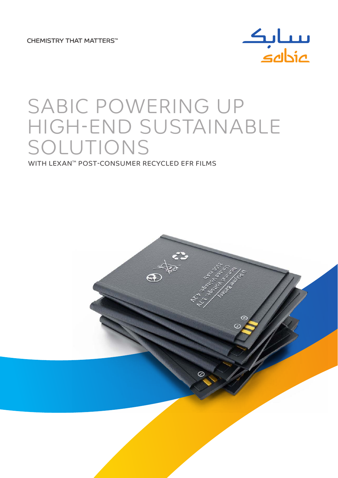**CHEMISTRY THAT MATTERS™** 



# SABIC POWERING UP HIGH-END SUSTAINABLE SOLUTIONS

WITH LEXAN™ POST-CONSUMER RECYCLED EFR FILMS

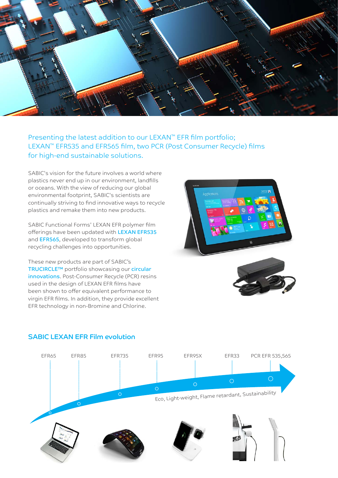

# Presenting the latest addition to our LEXAN<sup>™</sup> EFR film portfolio; LEXAN™ EFR535 and EFR565 film, two PCR (Post Consumer Recycle) films for high-end sustainable solutions.

SABIC's vision for the future involves a world where plastics never end up in our environment, landfills or oceans. With the view of reducing our global environmental footprint, SABIC's scientists are continually striving to find innovative ways to recycle plastics and remake them into new products.

SABIC Functional Forms' LEXAN EFR polymer film offerings have been updated with LEXAN EFR535 and EFR565, developed to transform global recycling challenges into opportunities.

These new products are part of SABIC's TRUCIRCLE™ portfolio showcasing our circular innovations. Post-Consumer Recycle (PCR) resins used in the design of LEXAN EFR films have been shown to offer equivalent performance to virgin EFR films. In addition, they provide excellent EFR technology in non-Bromine and Chlorine.







## SABIC LEXAN EFR Film evolution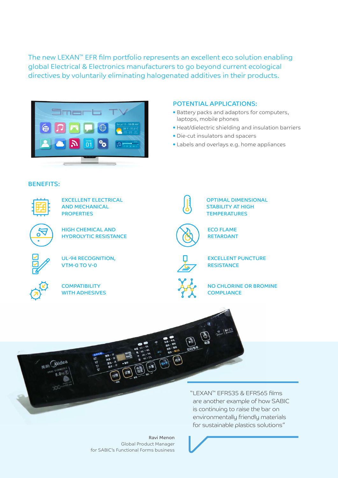The new LEXAN™ EFR film portfolio represents an excellent eco solution enabling global Electrical & Electronics manufacturers to go beyond current ecological directives by voluntarily eliminating halogenated additives in their products.



### POTENTIAL APPLICATIONS:

- Battery packs and adaptors for computers, laptops, mobile phones
- Heat/dielectric shielding and insulation barriers
- Die-cut insulators and spacers
- Labels and overlays e.g. home appliances

### BENEFITS:



EXCELLENT ELECTRICAL AND MECHANICAL **PROPERTIES** 

Ō

HIGH CHEMICAL AND HYDROLYTIC RESISTANCE



UL-94 RECOGNITION, VTM-0 TO V-0



**COMPATIBILITY** WITH ADHESIVES



EXCELLENT PUNCTURE **RESISTANCE** 

OPTIMAL DIMENSIONAL STABILITY AT HIGH **TEMPERATURES** 

ECO FLAME RETARDANT

 $\sqrt{M}$ 



NO CHLORINE OR BROMINE **COMPLIANCE** 



伊

"LEXAN™ EFR535 & EFR565 films are another example of how SABIC is continuing to raise the bar on environmentally friendly materials for sustainable plastics solutions"

Global Product Manager for SABIC's Functional Forms business